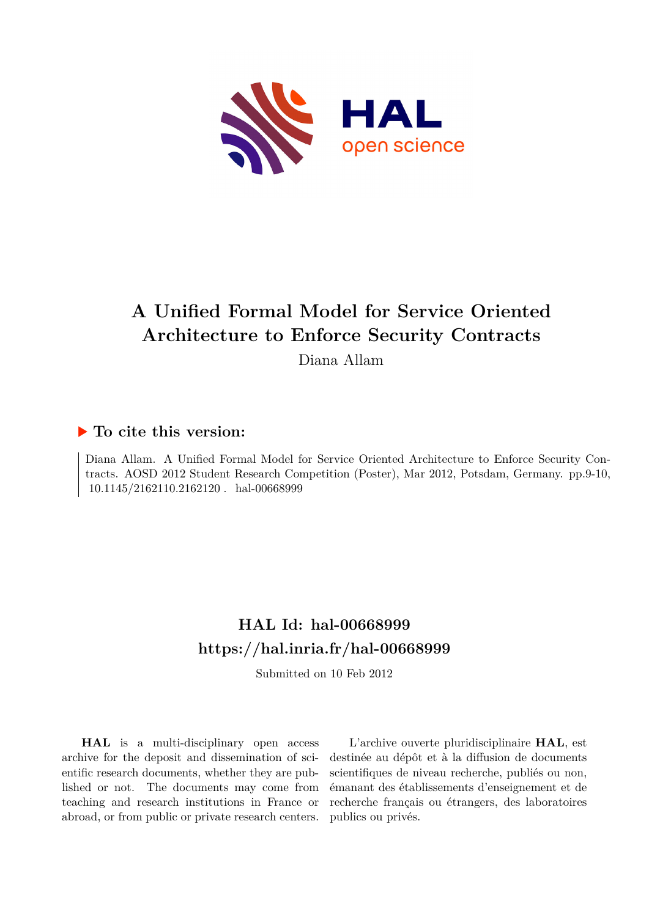

# **A Unified Formal Model for Service Oriented Architecture to Enforce Security Contracts**

Diana Allam

### **To cite this version:**

Diana Allam. A Unified Formal Model for Service Oriented Architecture to Enforce Security Contracts. AOSD 2012 Student Research Competition (Poster), Mar 2012, Potsdam, Germany. pp.9-10,  $10.1145/2162110.2162120$ . hal-00668999

### **HAL Id: hal-00668999 <https://hal.inria.fr/hal-00668999>**

Submitted on 10 Feb 2012

**HAL** is a multi-disciplinary open access archive for the deposit and dissemination of scientific research documents, whether they are published or not. The documents may come from teaching and research institutions in France or abroad, or from public or private research centers.

L'archive ouverte pluridisciplinaire **HAL**, est destinée au dépôt et à la diffusion de documents scientifiques de niveau recherche, publiés ou non, émanant des établissements d'enseignement et de recherche français ou étrangers, des laboratoires publics ou privés.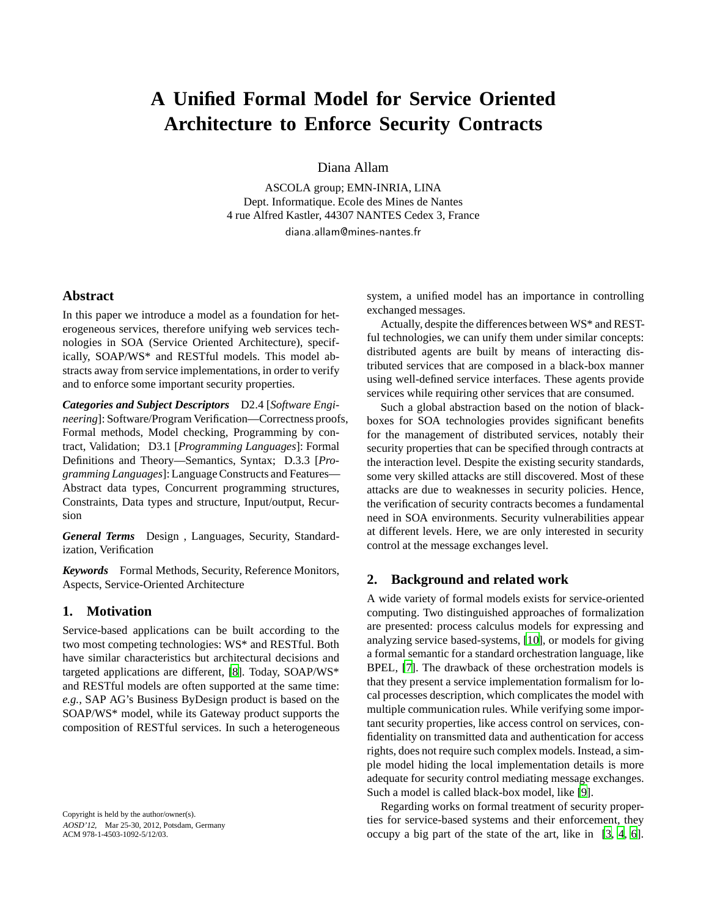## **A Unified Formal Model for Service Oriented Architecture to Enforce Security Contracts**

Diana Allam

ASCOLA group; EMN-INRIA, LINA Dept. Informatique. Ecole des Mines de Nantes 4 rue Alfred Kastler, 44307 NANTES Cedex 3, France diana.allam@mines-nantes.fr

#### **Abstract**

In this paper we introduce a model as a foundation for heterogeneous services, therefore unifying web services technologies in SOA (Service Oriented Architecture), specifically, SOAP/WS\* and RESTful models. This model abstracts away from service implementations, in order to verify and to enforce some important security properties.

*Categories and Subject Descriptors* D2.4 [*Software Engineering*]: Software/Program Verification—Correctness proofs, Formal methods, Model checking, Programming by contract, Validation; D3.1 [*Programming Languages*]: Formal Definitions and Theory—Semantics, Syntax; D.3.3 [*Programming Languages*]: Language Constructs and Features— Abstract data types, Concurrent programming structures, Constraints, Data types and structure, Input/output, Recursion

*General Terms* Design , Languages, Security, Standardization, Verification

*Keywords* Formal Methods, Security, Reference Monitors, Aspects, Service-Oriented Architecture

#### **1. Motivation**

Service-based applications can be built according to the two most competing technologies: WS\* and RESTful. Both have similar characteristics but architectural decisions and targeted applications are different, [\[8\]](#page-2-0). Today, SOAP/WS\* and RESTful models are often supported at the same time: *e.g.,* SAP AG's Business ByDesign product is based on the SOAP/WS\* model, while its Gateway product supports the composition of RESTful services. In such a heterogeneous

Copyright is held by the author/owner(s). AOSD'12, Mar 25-30, 2012, Potsdam, Germany ACM 978-1-4503-1092-5/12/03.

system, a unified model has an importance in controlling exchanged messages.

Actually, despite the differences between WS\* and RESTful technologies, we can unify them under similar concepts: distributed agents are built by means of interacting distributed services that are composed in a black-box manner using well-defined service interfaces. These agents provide services while requiring other services that are consumed.

Such a global abstraction based on the notion of blackboxes for SOA technologies provides significant benefits for the management of distributed services, notably their security properties that can be specified through contracts at the interaction level. Despite the existing security standards, some very skilled attacks are still discovered. Most of these attacks are due to weaknesses in security policies. Hence, the verification of security contracts becomes a fundamental need in SOA environments. Security vulnerabilities appear at different levels. Here, we are only interested in security control at the message exchanges level.

#### **2. Background and related work**

A wide variety of formal models exists for service-oriented computing. Two distinguished approaches of formalization are presented: process calculus models for expressing and analyzing service based-systems, [\[10\]](#page-2-1), or models for giving a formal semantic for a standard orchestration language, like BPEL, [\[7\]](#page-2-2). The drawback of these orchestration models is that they present a service implementation formalism for local processes description, which complicates the model with multiple communication rules. While verifying some important security properties, like access control on services, confidentiality on transmitted data and authentication for access rights, does not require such complex models. Instead, a simple model hiding the local implementation details is more adequate for security control mediating message exchanges. Such a model is called black-box model, like [\[9](#page-2-3)].

Regarding works on formal treatment of security properties for service-based systems and their enforcement, they occupy a big part of the state of the art, like in [\[3](#page-2-4), [4](#page-2-5), [6](#page-2-6)].